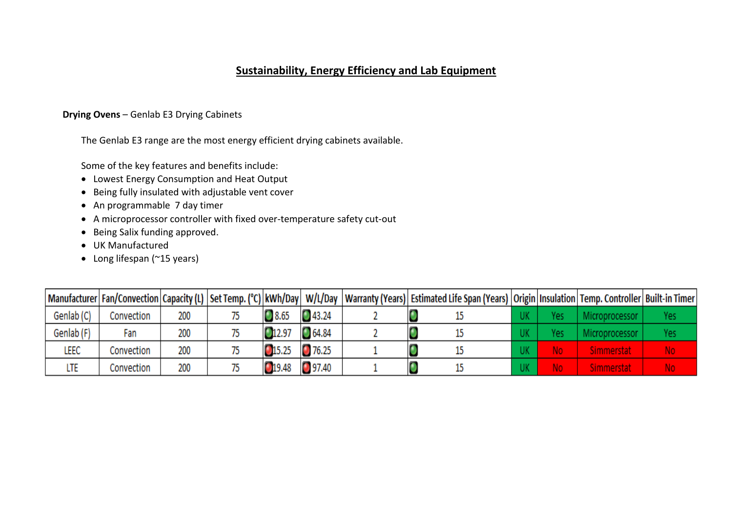# **Sustainability, Energy Efficiency and Lab Equipment**

# **Drying Ovens** – Genlab E3 Drying Cabinets

The Genlab E3 range are the most energy efficient drying cabinets available.

Some of the key features and benefits include:

- Lowest Energy Consumption and Heat Output
- Being fully insulated with adjustable vent cover
- An programmable 7 day timer
- A microprocessor controller with fixed over-temperature safety cut-out
- Being Salix funding approved.
- UK Manufactured
- Long lifespan (~15 years)

|            |            |     |        |                     |  | Manufacturer Fan/Convection Capacity (L)  Set Temp. (°C) kWh/Day   W/L/Day  Warranty (Years)   Estimated Life Span (Years)   Origin   Insulation   Temp. Controller   Built-in Timer |  |          |     |
|------------|------------|-----|--------|---------------------|--|--------------------------------------------------------------------------------------------------------------------------------------------------------------------------------------|--|----------|-----|
| Genlab (C) | Convection | 200 | 3.65   | 43.24               |  |                                                                                                                                                                                      |  | 100essor | Yes |
| Genlab (F) | Fan        | 200 | 012.97 | $\bigcirc$ 64.84    |  |                                                                                                                                                                                      |  |          | fes |
| leec       | Convection | 200 | 15.25  | 76.25               |  |                                                                                                                                                                                      |  |          | No  |
| LTE        | Convection | 200 | 19.48  | n<br><b>1</b> 97.40 |  |                                                                                                                                                                                      |  |          | ١o  |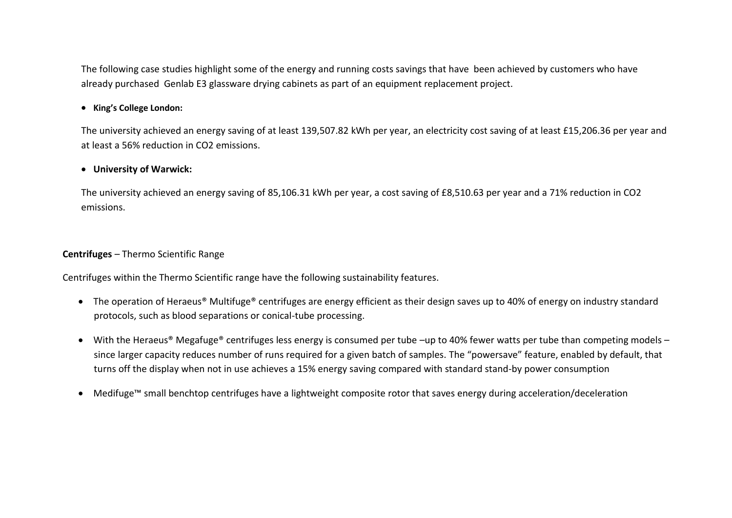The following case studies highlight some of the energy and running costs savings that have been achieved by customers who have already purchased Genlab E3 glassware drying cabinets as part of an equipment replacement project.

## • **King's College London:**

The university achieved an energy saving of at least 139,507.82 kWh per year, an electricity cost saving of at least £15,206.36 per year and at least a 56% reduction in CO2 emissions.

## • **University of Warwick:**

The university achieved an energy saving of 85,106.31 kWh per year, a cost saving of £8,510.63 per year and a 71% reduction in CO2 emissions.

#### **Centrifuges** – Thermo Scientific Range

Centrifuges within the Thermo Scientific range have the following sustainability features.

- The operation of Heraeus<sup>®</sup> Multifuge<sup>®</sup> centrifuges are energy efficient as their design saves up to 40% of energy on industry standard protocols, such as blood separations or conical-tube processing.
- With the Heraeus<sup>®</sup> Megafuge<sup>®</sup> centrifuges less energy is consumed per tube –up to 40% fewer watts per tube than competing models since larger capacity reduces number of runs required for a given batch of samples. The "powersave" feature, enabled by default, that turns off the display when not in use achieves a 15% energy saving compared with standard stand-by power consumption
- Medifuge™ small benchtop centrifuges have a lightweight composite rotor that saves energy during acceleration/deceleration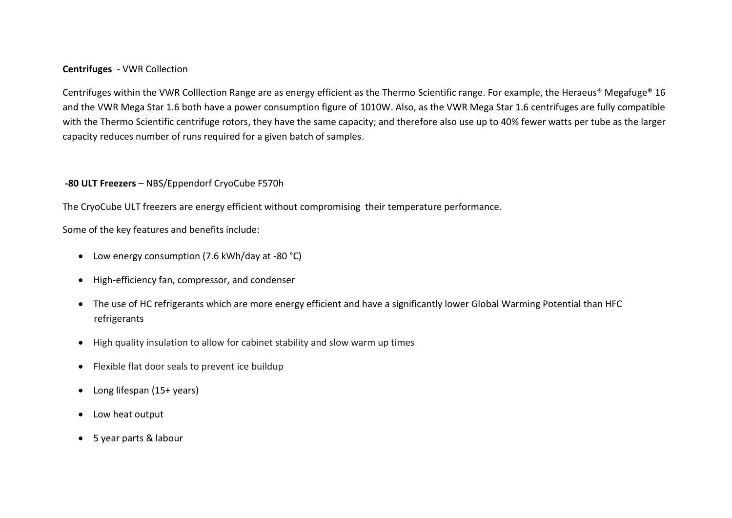#### **Centrifuges** - VWR Collection

Centrifuges within the VWR Colllection Range are as energy efficient as the Thermo Scientific range. For example, the Heraeus® Megafuge® 16 and the VWR Mega Star 1.6 both have a power consumption figure of 1010W. Also, as the VWR Mega Star 1.6 centrifuges are fully compatible with the Thermo Scientific centrifuge rotors, they have the same capacity; and therefore also use up to 40% fewer watts per tube as the larger capacity reduces number of runs required for a given batch of samples.

## **-80 ULT Freezers** – NBS/Eppendorf CryoCube F570h

The CryoCube ULT freezers are energy efficient without compromising their temperature performance.

Some of the key features and benefits include:

- Low energy consumption (7.6 kWh/day at -80 °C)
- High-efficiency fan, compressor, and condenser
- The use of HC refrigerants which are more energy efficient and have a significantly lower Global Warming Potential than HFC refrigerants
- High quality insulation to allow for cabinet stability and slow warm up times
- Flexible flat door seals to prevent ice buildup
- Long lifespan (15+ years)
- Low heat output
- 5 year parts & labour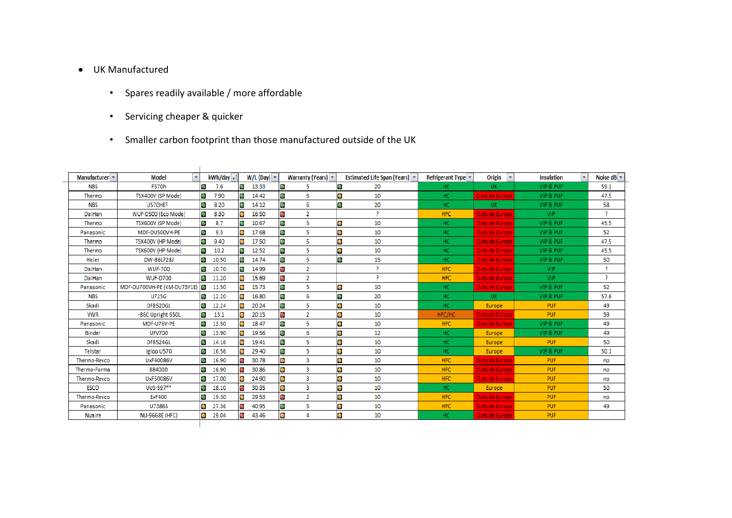# • UK Manufactured

- Spares readily available / more affordable
- Servicing cheaper & quicker
- Smaller carbon footprint than those manufactured outside of the UK

| Manufacturer v | <b>Model</b><br>$\mathbf{v}$ |           | kWh/day -1 |           | $W/L$ (Day) $\sim$ |           | <b>Warranty (Years)</b> $\mathbf{\cdot}$ |           | Estimated Life Span (Years) v | Refrigerant Type v | Origin                | × | <b>Insulation</b> | Noise $dB =$ |
|----------------|------------------------------|-----------|------------|-----------|--------------------|-----------|------------------------------------------|-----------|-------------------------------|--------------------|-----------------------|---|-------------------|--------------|
| <b>NBS</b>     | <b>F570h</b>                 | ۰         | 7.6        | o         | 13.33              | $\bullet$ | 5                                        | $\bullet$ | 20                            | HC.                | UK.                   |   | VIP & PUF         | 59.1         |
| Thermo         | TSX400V (SP Mode)            | ۰         | 7.90       | o         | 14.42              | ۰         | 5                                        | $\bullet$ | 10                            | HC.                | <b>Outside Europe</b> |   | VIP & PUF         | 47.5         |
| <b>NBS</b>     | U570HEF                      | ۰         | 8.20       | ۰         | 14.12              | ٠         | 6                                        | $\bullet$ | 20                            | HC.                | UK.                   |   | VIP & PUF         | 58           |
| DaiHan         | WUF-D500 (Eco Mode)          | ۰         | 8.30       | O         | 16.50              | O         | $\overline{2}$                           |           | $\overline{2}$                | <b>HFC</b>         | <b>Outside Europe</b> |   | VIP               | -2           |
| Thermo         | TSX600V (SP Mode)            | ۰         | 8.7        | о         | 10.67              | $\bullet$ | 5                                        | O         | 10                            | HC.                | <b>Outside Europe</b> |   | VIP & PUF         | 45.5         |
| Panasonic      | MDF-DU500VH-PE               | ۰         | 9.3        | O         | 17.68              | $\bullet$ | 5                                        | $\bullet$ | 10                            | HC.                | <b>Outside Europe</b> |   | VIP & PUF         | 52           |
| Thermo         | TSX400V (HP Mode)            | ۰         | 9.40       | $\bullet$ | 17.50              | $\bullet$ | 5                                        | $\bullet$ | 10                            | HC.                | <b>Outside Europe</b> |   | VIP & PUF         | 47.5         |
| Thermo         | TSX600V (HP Mode)            | ۰         | 10.2       | ۰         | 12.52              | ٠         | 5                                        | $\bullet$ | 10                            | HC.                | <b>Outside Europe</b> |   | VIP & PUF         | 45.5         |
| Haier          | DW-86L728J                   | ۰         | 10.50      | o         | 14.74              | $\bullet$ | 5                                        | ۰         | 15                            | HC.                | <b>Outside Europe</b> |   | VIP & PUF         | 50           |
| DaiHan         | <b>WUF-700</b>               | ۰         | 10.70      | ۰         | 14.99              | O         | $\overline{2}$                           |           | 2                             | <b>HFC</b>         | <b>Outside Europe</b> |   | VIP               | P.           |
| DaiHan         | <b>WUF-D700</b>              | ۰         | 11.20      | O         | 15.69              | O         | $\overline{2}$                           |           | $\overline{2}$                | HFC                | <b>Outside Europe</b> |   | <b>VIP</b>        | 2            |
| Panasonic      | MDF-DU700VH-PE (KM-DU73Y1E)  |           | 11.50      | $\bullet$ | 15.73              | $\bullet$ | 5                                        | $\bullet$ | 10                            | HC.                | <b>Outside Europe</b> |   | VIP & PUF         | 52           |
| <b>NBS</b>     | <b>U725G</b>                 | ۰         | 12.20      | $\bullet$ | 16.80              | $\bullet$ | 6                                        | $\bullet$ | 20                            | HC.                | UK.                   |   | VIP & PUF         | 57.6         |
| Skadi          | <b>DF8520GL</b>              | ۰         | 12.24      |           | 20.24              | ۰         | 5                                        | $\bullet$ | 10                            | HC.                | Europe                |   | <b>PUF</b>        | 49           |
| <b>VWR</b>     | -86C Upright 650L            | ۰         | 13.1       |           | 20.15              | O         | $\overline{2}$                           | O         | 10                            | HFC/HC             | Outside Europe        |   | <b>PUF</b>        | 59           |
| Panasonic      | MDF-U76V-PE                  | ۰         | 13.50      | O         | 18.47              | $\bullet$ | 5                                        | D         | 10                            | HFC                | <b>Outside Europe</b> |   | VIP & PUF         | 49           |
| <b>Binder</b>  | <b>UFV700</b>                | ۰         | 13.90      | $\bullet$ | 19.56              | O         | 6                                        | O         | 12                            | HC.                | Europe                |   | VIP & PUF         | 49           |
| Skadi          | <b>DF8524GL</b>              | ۰         | 14.16      | $\bullet$ | 19.41              | ٠         | 5                                        | 0         | 10                            | HC.                | Europe                |   | <b>PUF</b>        | 50           |
| Telstar        | Igloo U570                   |           | 16.56      |           | 29.40              | $\bullet$ | 5                                        | O         | 10                            | HC                 | Europe                |   | VIP & PUF         | 50.1         |
| Thermo-Revco   | UxF40086V                    | ۰         | 16.90      | ۰         | 30.78              | $\bullet$ | $\overline{\mathbf{3}}$                  | O         | 10                            | HFC                | <b>Outside Europe</b> |   | <b>PUF</b>        | np           |
| Thermo-Forma   | 88400D                       | ۰         | 16.90      | ۰         | 30.86              | $\bullet$ | з                                        | O         | 10                            | HFC                | <b>Outside Europe</b> |   | <b>PUF</b>        | np           |
| Thermo-Revco   | UxF50086V                    | ۰         | 17.00      | $\bullet$ | 24.90              | $\bullet$ | 3                                        | $\bullet$ | 10                            | HFC                | <b>Outside Europe</b> |   | <b>PUF</b>        | np           |
| ESCO           | UUS-597**                    | ۰         | 18.10      | O         | 30.35              | $\bullet$ | 3                                        | O         | 10                            | HC.                | Europe                |   | <b>PUF</b>        | 50           |
| Thermo-Revco   | <b>ExF400</b>                | ۰         | 19.30      |           | 29.53              | $\bullet$ | $\overline{2}$                           | O         | 10                            | HFC                | <b>Outside Europe</b> |   | <b>PUF</b>        | np           |
| Panasonic      | U7386S                       |           | 27.36      | ۰         | 40.95              | ٠         | 5                                        | O         | 10                            | <b>HFC</b>         | <b>Outside Europe</b> |   | <b>PUF</b>        | 49           |
| <b>Nuaire</b>  | <b>NU-9668E (HFC)</b>        | $\bullet$ | 29.04      | ۰         | 43.46              | $\bullet$ | 4                                        | $\bullet$ | 10                            | HC.                | <b>Outside Europe</b> |   | <b>PUF</b>        |              |
|                |                              |           |            |           |                    |           |                                          |           |                               |                    |                       |   |                   |              |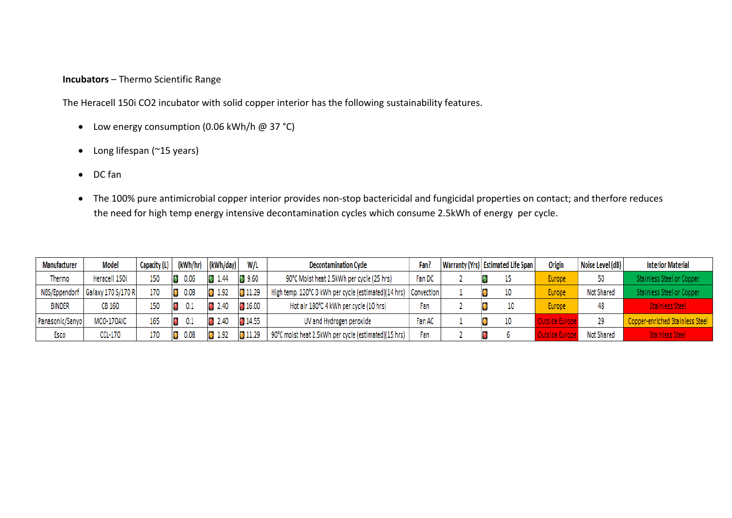## **Incubators** – Thermo Scientific Range

The Heracell 150i CO2 incubator with solid copper interior has the following sustainability features.

- Low energy consumption (0.06 kWh/h @ 37 °C)
- Long lifespan (~15 years)
- DC fan
- The 100% pure antimicrobial copper interior provides non-stop bactericidal and fungicidal properties on contact; and therfore reduces the need for high temp energy intensive decontamination cycles which consume 2.5kWh of energy per cycle.

| Manufacturer    | <b>Model</b>       | Capacity (L) | (kWh/hr) | (kWh/day) | W/L          | <b>Decontamination Cycle</b>                                      | Fan?   |  | Warranty (Yrs) Estimated Life Span |  | Noise Level (dB)<br>Origin |                   | <b>Interior Material</b>        |  |
|-----------------|--------------------|--------------|----------|-----------|--------------|-------------------------------------------------------------------|--------|--|------------------------------------|--|----------------------------|-------------------|---------------------------------|--|
| Thermo          | Heracell 150i      | 150          |          | 1.44      | 9.60         | 90°C Moist heat 2.5kWh per cycle (25 hrs)                         | Fan DC |  |                                    |  | Europe                     |                   | Stainless Steel or Copper       |  |
| NBS/Eppendorf   | Galaxy 170 S/170 R | 170          |          | 1.92      | 11.29        | High temp. 120°C 3 kWh per cycle (estimated)(14 hrs)   Convection |        |  | 10                                 |  | Europe.                    | <b>Not Shared</b> | Stainless Steel or Copper       |  |
| <b>BINDER</b>   | CB 160             | 150          |          | 2.40      | 116.00       | Hot air 180°C 4 kWh per cycle (10 hrs)                            | Fan    |  | 10                                 |  | <b>Europe</b>              |                   | <b>Stainless Steel</b>          |  |
| Panasonic/Sanyo | MCO-170AIC         | 165          | 0.1      | 2.40      | <b>14.55</b> | UV and Hydrogen peroxide                                          | Fan AC |  | 10                                 |  | luteida Furano             | 29                | Copper-enriched Stainless Steel |  |
| Esco            | CCL-170            | 170          |          |           |              | 90°C moist heat 2.5kWh per cycle (estimated)(15 hrs)              | Fan    |  |                                    |  | Inteida Furan              | <b>Not Shared</b> | Stainless Steel                 |  |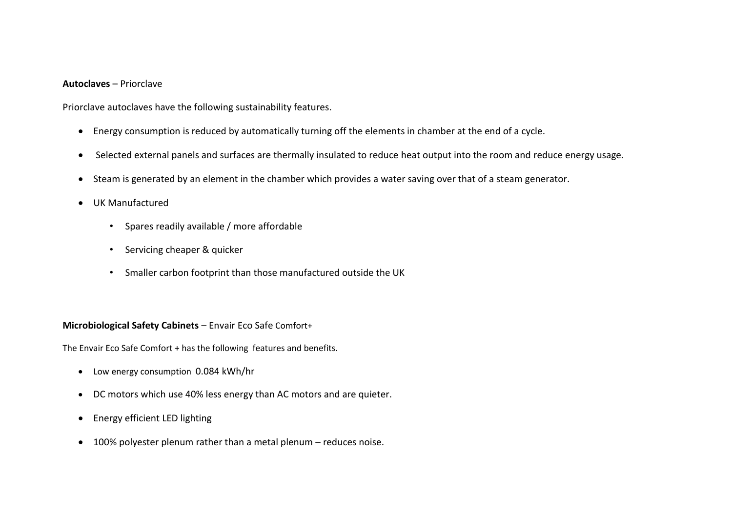#### **Autoclaves** – Priorclave

Priorclave autoclaves have the following sustainability features.

- Energy consumption is reduced by automatically turning off the elements in chamber at the end of a cycle.
- Selected external panels and surfaces are thermally insulated to reduce heat output into the room and reduce energy usage.
- Steam is generated by an element in the chamber which provides a water saving over that of a steam generator.
- UK Manufactured
	- Spares readily available / more affordable
	- Servicing cheaper & quicker
	- Smaller carbon footprint than those manufactured outside the UK

#### **Microbiological Safety Cabinets** – Envair Eco Safe Comfort+

The Envair Eco Safe Comfort + has the following features and benefits.

- Low energy consumption 0.084 kWh/hr
- DC motors which use 40% less energy than AC motors and are quieter.
- Energy efficient LED lighting
- 100% polyester plenum rather than a metal plenum reduces noise.